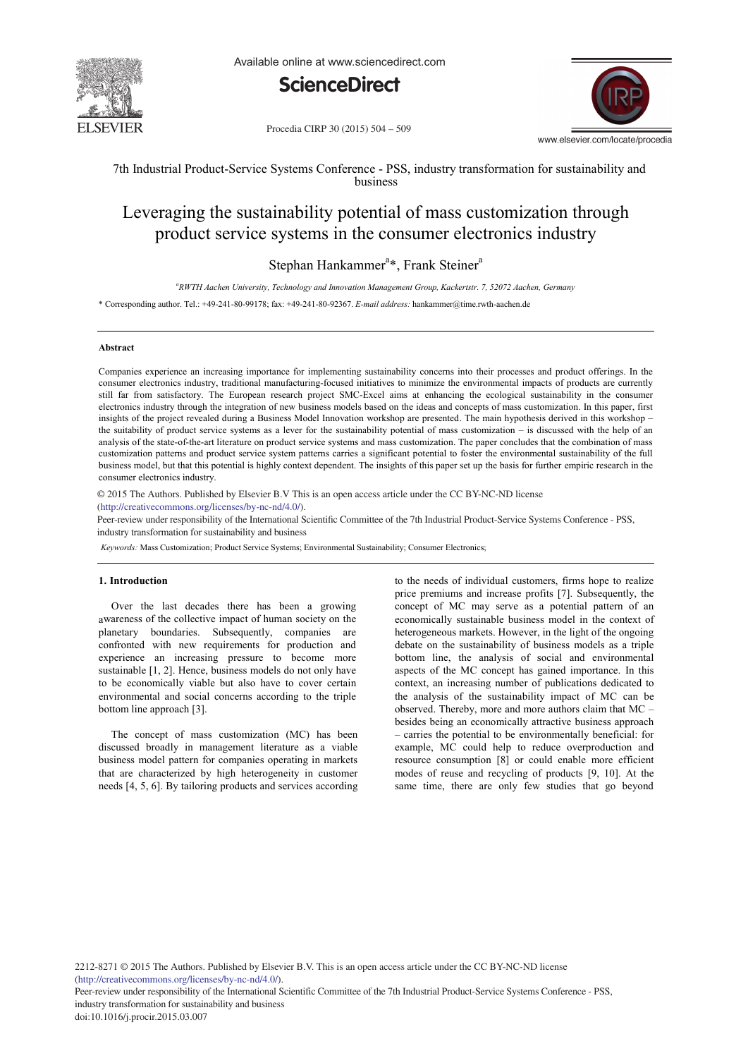

Available online at www.sciencedirect.com



Procedia CIRP 30 (2015) 504 - 509



7th Industrial Product-Service Systems Conference - PSS, industry transformation for sustainability and business

# Leveraging the sustainability potential of mass customization through product service systems in the consumer electronics industry

Stephan Hankammer<sup>a\*</sup>, Frank Steiner<sup>a</sup>

*a RWTH Aachen University, Technology and Innovation Management Group, Kackertstr. 7, 52072 Aachen, Germany* \* Corresponding author. Tel.: +49-241-80-99178; fax: +49-241-80-92367. *E-mail address:* hankammer@time.rwth-aachen.de

#### **Abstract**

Companies experience an increasing importance for implementing sustainability concerns into their processes and product offerings. In the consumer electronics industry, traditional manufacturing-focused initiatives to minimize the environmental impacts of products are currently still far from satisfactory. The European research project SMC-Excel aims at enhancing the ecological sustainability in the consumer electronics industry through the integration of new business models based on the ideas and concepts of mass customization. In this paper, first insights of the project revealed during a Business Model Innovation workshop are presented. The main hypothesis derived in this workshop – the suitability of product service systems as a lever for the sustainability potential of mass customization – is discussed with the help of an analysis of the state-of-the-art literature on product service systems and mass customization. The paper concludes that the combination of mass customization patterns and product service system patterns carries a significant potential to foster the environmental sustainability of the full business model, but that this potential is highly context dependent. The insights of this paper set up the basis for further empiric research in the consumer electronics industry.

© 2015 The Authors. Published by Elsevier B.V. (http://creativecommons.org/licenses/by-nc-nd/4.0/). © 2015 The Authors. Published by Elsevier B.V This is an open access article under the CC BY-NC-ND license

Perfect responsibility of the International Scientific Committee of the International Scientific Committee of the Prof. Daniel Brissaud & Prof. Daniel Brissaud & Prof. Daniel Brissaud & Prof. Daniel Brissaud & Prof. Daniel Peer-review under responsibility of the International Scientific Committee of the 7th Industrial Product-Service Systems Conference - PSS, industry transformation for sustainability and business

*Keywords:* Mass Customization; Product Service Systems; Environmental Sustainability; Consumer Electronics;

#### **1. Introduction**

Over the last decades there has been a growing awareness of the collective impact of human society on the planetary boundaries. Subsequently, companies are confronted with new requirements for production and experience an increasing pressure to become more sustainable [1, 2]. Hence, business models do not only have to be economically viable but also have to cover certain environmental and social concerns according to the triple bottom line approach [3].

The concept of mass customization (MC) has been discussed broadly in management literature as a viable business model pattern for companies operating in markets that are characterized by high heterogeneity in customer needs [4, 5, 6]. By tailoring products and services according to the needs of individual customers, firms hope to realize price premiums and increase profits [7]. Subsequently, the concept of MC may serve as a potential pattern of an economically sustainable business model in the context of heterogeneous markets. However, in the light of the ongoing debate on the sustainability of business models as a triple bottom line, the analysis of social and environmental aspects of the MC concept has gained importance. In this context, an increasing number of publications dedicated to the analysis of the sustainability impact of MC can be observed. Thereby, more and more authors claim that MC – besides being an economically attractive business approach – carries the potential to be environmentally beneficial: for example, MC could help to reduce overproduction and resource consumption [8] or could enable more efficient modes of reuse and recycling of products [9, 10]. At the same time, there are only few studies that go beyond

2212-8271 © 2015 The Authors. Published by Elsevier B.V. This is an open access article under the CC BY-NC-ND license (http://creativecommons.org/licenses/by-nc-nd/4.0/).

Peer-review under responsibility of the International Scientific Committee of the 7th Industrial Product-Service Systems Conference - PSS, industry transformation for sustainability and business

doi: 10.1016/j.procir.2015.03.007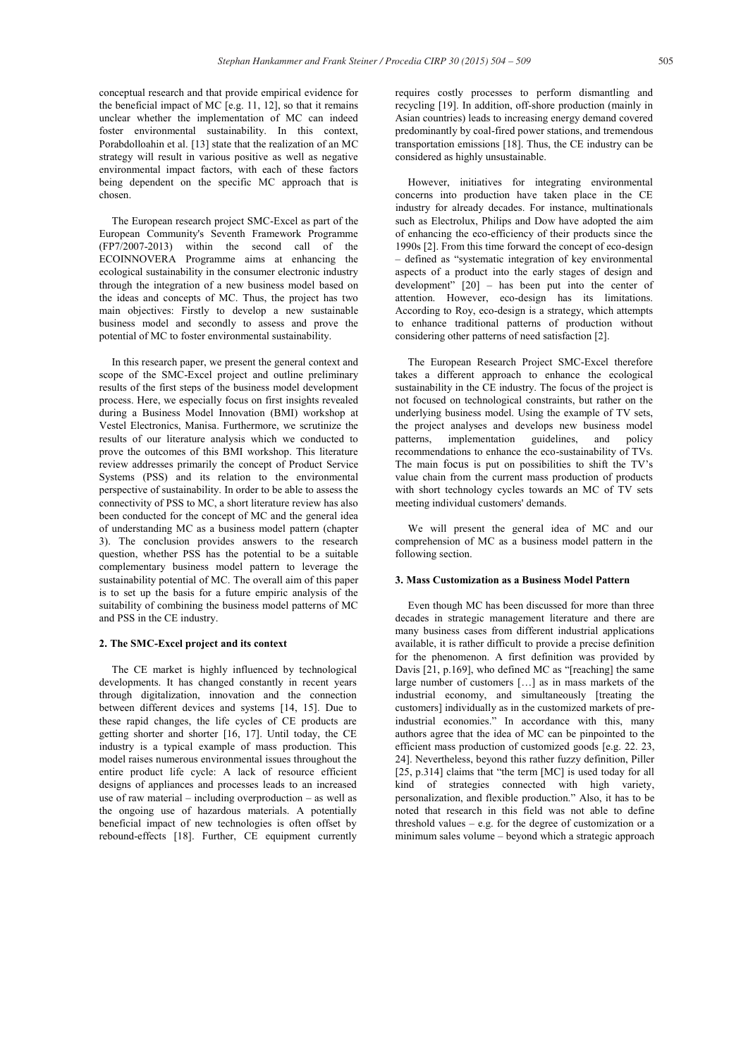conceptual research and that provide empirical evidence for the beneficial impact of MC [e.g. 11, 12], so that it remains unclear whether the implementation of MC can indeed foster environmental sustainability. In this context, Porabdolloahin et al. [13] state that the realization of an MC strategy will result in various positive as well as negative environmental impact factors, with each of these factors being dependent on the specific MC approach that is chosen.

The European research project SMC-Excel as part of the European Community's Seventh Framework Programme (FP7/2007-2013) within the second call of the ECOINNOVERA Programme aims at enhancing the ecological sustainability in the consumer electronic industry through the integration of a new business model based on the ideas and concepts of MC. Thus, the project has two main objectives: Firstly to develop a new sustainable business model and secondly to assess and prove the potential of MC to foster environmental sustainability.

In this research paper, we present the general context and scope of the SMC-Excel project and outline preliminary results of the first steps of the business model development process. Here, we especially focus on first insights revealed during a Business Model Innovation (BMI) workshop at Vestel Electronics, Manisa. Furthermore, we scrutinize the results of our literature analysis which we conducted to prove the outcomes of this BMI workshop. This literature review addresses primarily the concept of Product Service Systems (PSS) and its relation to the environmental perspective of sustainability. In order to be able to assess the connectivity of PSS to MC, a short literature review has also been conducted for the concept of MC and the general idea of understanding MC as a business model pattern (chapter 3). The conclusion provides answers to the research question, whether PSS has the potential to be a suitable complementary business model pattern to leverage the sustainability potential of MC. The overall aim of this paper is to set up the basis for a future empiric analysis of the suitability of combining the business model patterns of MC and PSS in the CE industry.

## **2. The SMC-Excel project and its context**

The CE market is highly influenced by technological developments. It has changed constantly in recent years through digitalization, innovation and the connection between different devices and systems [14, 15]. Due to these rapid changes, the life cycles of CE products are getting shorter and shorter [16, 17]. Until today, the CE industry is a typical example of mass production. This model raises numerous environmental issues throughout the entire product life cycle: A lack of resource efficient designs of appliances and processes leads to an increased use of raw material – including overproduction – as well as the ongoing use of hazardous materials. A potentially beneficial impact of new technologies is often offset by rebound-effects [18]. Further, CE equipment currently requires costly processes to perform dismantling and recycling [19]. In addition, off-shore production (mainly in Asian countries) leads to increasing energy demand covered predominantly by coal-fired power stations, and tremendous transportation emissions [18]. Thus, the CE industry can be considered as highly unsustainable.

However, initiatives for integrating environmental concerns into production have taken place in the CE industry for already decades. For instance, multinationals such as Electrolux, Philips and Dow have adopted the aim of enhancing the eco-efficiency of their products since the 1990s [2]. From this time forward the concept of eco-design – defined as "systematic integration of key environmental aspects of a product into the early stages of design and development" [20] – has been put into the center of attention. However, eco-design has its limitations. According to Roy, eco-design is a strategy, which attempts to enhance traditional patterns of production without considering other patterns of need satisfaction [2].

The European Research Project SMC-Excel therefore takes a different approach to enhance the ecological sustainability in the CE industry. The focus of the project is not focused on technological constraints, but rather on the underlying business model. Using the example of TV sets, the project analyses and develops new business model patterns, implementation guidelines, and policy recommendations to enhance the eco-sustainability of TVs. The main focus is put on possibilities to shift the TV's value chain from the current mass production of products with short technology cycles towards an MC of TV sets meeting individual customers' demands.

We will present the general idea of MC and our comprehension of MC as a business model pattern in the following section.

## **3. Mass Customization as a Business Model Pattern**

Even though MC has been discussed for more than three decades in strategic management literature and there are many business cases from different industrial applications available, it is rather difficult to provide a precise definition for the phenomenon. A first definition was provided by Davis [21, p.169], who defined MC as "[reaching] the same large number of customers […] as in mass markets of the industrial economy, and simultaneously [treating the customers] individually as in the customized markets of preindustrial economies." In accordance with this, many authors agree that the idea of MC can be pinpointed to the efficient mass production of customized goods [e.g. 22. 23, 24]. Nevertheless, beyond this rather fuzzy definition, Piller [25, p.314] claims that "the term [MC] is used today for all kind of strategies connected with high variety, personalization, and flexible production." Also, it has to be noted that research in this field was not able to define threshold values – e.g. for the degree of customization or a minimum sales volume – beyond which a strategic approach